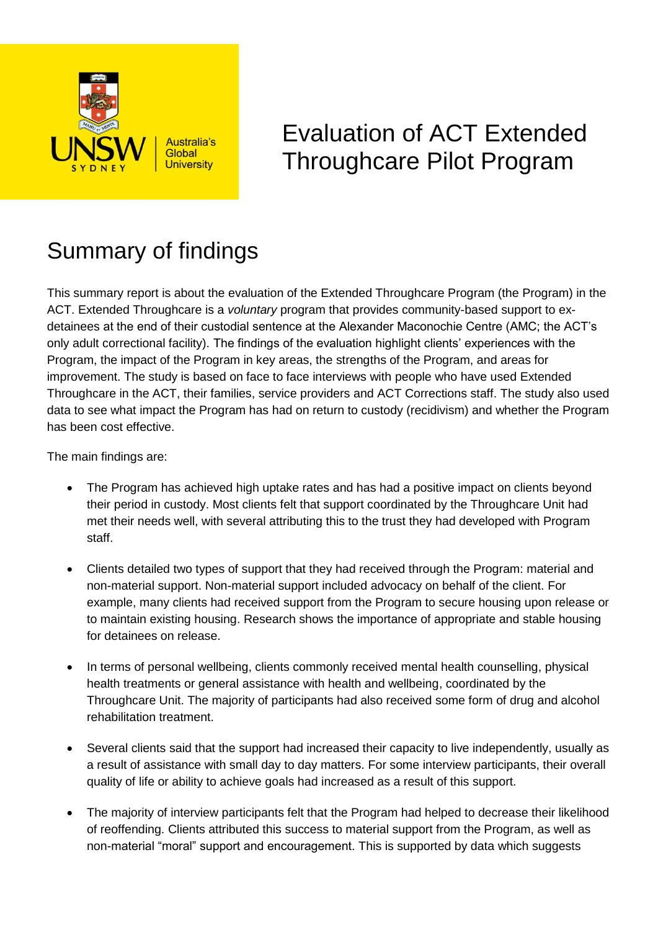

## Evaluation of ACT Extended Throughcare Pilot Program

## Summary of findings

This summary report is about the evaluation of the Extended Throughcare Program (the Program) in the ACT. Extended Throughcare is a *voluntary* program that provides community-based support to exdetainees at the end of their custodial sentence at the Alexander Maconochie Centre (AMC; the ACT's only adult correctional facility). The findings of the evaluation highlight clients' experiences with the Program, the impact of the Program in key areas, the strengths of the Program, and areas for improvement. The study is based on face to face interviews with people who have used Extended Throughcare in the ACT, their families, service providers and ACT Corrections staff. The study also used data to see what impact the Program has had on return to custody (recidivism) and whether the Program has been cost effective.

The main findings are:

- The Program has achieved high uptake rates and has had a positive impact on clients beyond their period in custody. Most clients felt that support coordinated by the Throughcare Unit had met their needs well, with several attributing this to the trust they had developed with Program staff.
- Clients detailed two types of support that they had received through the Program: material and non-material support. Non-material support included advocacy on behalf of the client. For example, many clients had received support from the Program to secure housing upon release or to maintain existing housing. Research shows the importance of appropriate and stable housing for detainees on release.
- In terms of personal wellbeing, clients commonly received mental health counselling, physical health treatments or general assistance with health and wellbeing, coordinated by the Throughcare Unit. The majority of participants had also received some form of drug and alcohol rehabilitation treatment.
- Several clients said that the support had increased their capacity to live independently, usually as a result of assistance with small day to day matters. For some interview participants, their overall quality of life or ability to achieve goals had increased as a result of this support.
- The majority of interview participants felt that the Program had helped to decrease their likelihood of reoffending. Clients attributed this success to material support from the Program, as well as non-material "moral" support and encouragement. This is supported by data which suggests